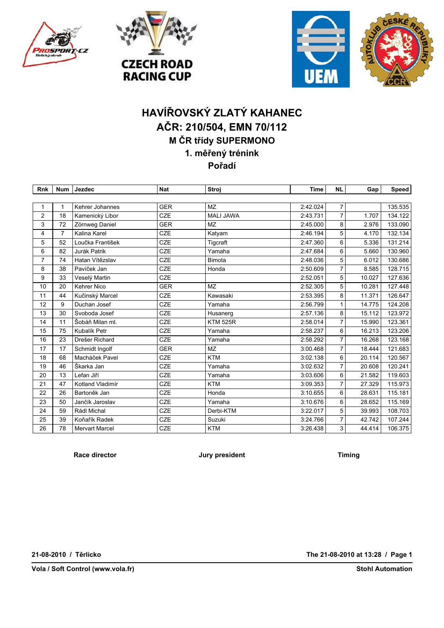





## **HAVÍŘOVSKÝ ZLATÝ KAHANEC AČR: 210/504, EMN 70/112 M ČR třídy SUPERMONO 1. měřený trénink Pořadí**

| <b>Rnk</b>     | <b>Num</b>     | Jezdec                | <b>Nat</b> | Stroj            | <b>Time</b> | <b>NL</b>      | Gap    | <b>Speed</b> |
|----------------|----------------|-----------------------|------------|------------------|-------------|----------------|--------|--------------|
|                |                |                       |            |                  |             |                |        |              |
| 1              | 1              | Kehrer Johannes       | <b>GER</b> | <b>MZ</b>        | 2:42.024    | 7              |        | 135.535      |
| $\overline{2}$ | 18             | Kamenický Libor       | <b>CZE</b> | <b>MALI JAWA</b> | 2:43.731    | $\overline{7}$ | 1.707  | 134.122      |
| 3              | 72             | Zörnweg Daniel        | <b>GER</b> | <b>MZ</b>        | 2:45.000    | 8              | 2.976  | 133.090      |
| 4              | $\overline{7}$ | Kalina Karel          | <b>CZE</b> | Katyam           | 2:46.194    | 5              | 4.170  | 132.134      |
| 5              | 52             | Loučka František      | <b>CZE</b> | Tigcraft         | 2:47.360    | 6              | 5.336  | 131.214      |
| 6              | 82             | Jurák Patrik          | <b>CZE</b> | Yamaha           | 2:47.684    | 6              | 5.660  | 130.960      |
| $\overline{7}$ | 74             | Hatan Vítězslav       | <b>CZE</b> | <b>Bimota</b>    | 2:48.036    | 5              | 6.012  | 130.686      |
| 8              | 38             | Pavíček Jan           | <b>CZE</b> | Honda            | 2:50.609    | 7              | 8.585  | 128.715      |
| 9              | 33             | Veselý Martin         | <b>CZE</b> |                  | 2:52.051    | 5              | 10.027 | 127.636      |
| 10             | 20             | <b>Kehrer Nico</b>    | <b>GER</b> | <b>MZ</b>        | 2:52.305    | 5              | 10.281 | 127.448      |
| 11             | 44             | Kučinský Marcel       | CZE        | Kawasaki         | 2:53.395    | 8              | 11.371 | 126.647      |
| 12             | 9              | Duchan Josef          | CZE        | Yamaha           | 2:56.799    | 1              | 14.775 | 124.208      |
| 13             | 30             | Svoboda Josef         | CZE        | Husanerg         | 2:57.136    | 8              | 15.112 | 123.972      |
| 14             | 11             | Šobáň Milan ml.       | CZE        | <b>KTM 525R</b>  | 2:58.014    | $\overline{7}$ | 15.990 | 123.361      |
| 15             | 75             | Kubalík Petr          | <b>CZE</b> | Yamaha           | 2:58.237    | 6              | 16.213 | 123.206      |
| 16             | 23             | Drešer Richard        | <b>CZE</b> | Yamaha           | 2:58.292    | 7              | 16.268 | 123.168      |
| 17             | 17             | Schmidt Ingolf        | <b>GER</b> | <b>MZ</b>        | 3:00.468    | $\overline{7}$ | 18.444 | 121.683      |
| 18             | 68             | Macháček Pavel        | CZE        | <b>KTM</b>       | 3:02.138    | 6              | 20.114 | 120.567      |
| 19             | 46             | Škarka Jan            | <b>CZE</b> | Yamaha           | 3:02.632    | 7              | 20.608 | 120.241      |
| 20             | 13             | Lefan Jiří            | CZE        | Yamaha           | 3:03.606    | 6              | 21.582 | 119.603      |
| 21             | 47             | Kotland Vladimír      | <b>CZE</b> | <b>KTM</b>       | 3:09.353    | $\overline{7}$ | 27.329 | 115.973      |
| 22             | 26             | Bartoněk Jan          | <b>CZE</b> | Honda            | 3:10.655    | 6              | 28.631 | 115.181      |
| 23             | 50             | Jančík Jaroslav       | CZE        | Yamaha           | 3:10.676    | 6              | 28.652 | 115.169      |
| 24             | 59             | Rádl Michal           | <b>CZE</b> | Derbi-KTM        | 3:22.017    | 5              | 39.993 | 108.703      |
| 25             | 39             | Koňařík Radek         | <b>CZE</b> | Suzuki           | 3:24.766    | $\overline{7}$ | 42.742 | 107.244      |
| 26             | 78             | <b>Mervart Marcel</b> | <b>CZE</b> | <b>KTM</b>       | 3:26.438    | 3              | 44.414 | 106.375      |

**Race director Jury president Timing**

**21-08-2010 / Těrlicko**

**The 21-08-2010 at 13:28 / Page 1**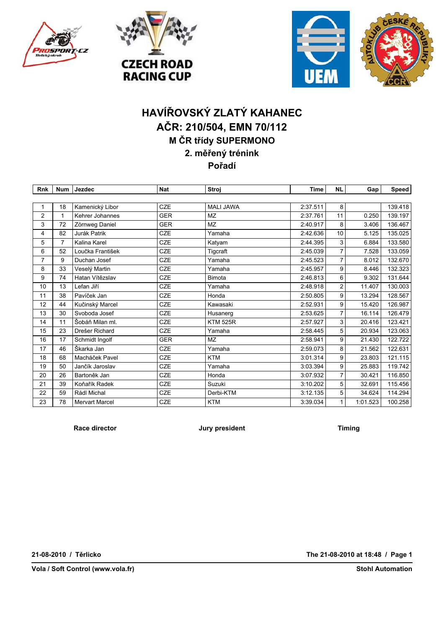





## **HAVÍŘOVSKÝ ZLATÝ KAHANEC AČR: 210/504, EMN 70/112 M ČR třídy SUPERMONO 2. měřený trénink Pořadí**

| <b>Rnk</b>     | <b>Num</b>     | Jezdec                | <b>Nat</b> | Stroj            | <b>Time</b> | <b>NL</b>      | Gap <sup>1</sup> | Speed   |
|----------------|----------------|-----------------------|------------|------------------|-------------|----------------|------------------|---------|
|                |                |                       |            |                  |             |                |                  |         |
|                | 18             | Kamenický Libor       | <b>CZE</b> | <b>MALI JAWA</b> | 2:37.511    | 8              |                  | 139.418 |
| $\overline{2}$ | $\mathbf{1}$   | Kehrer Johannes       | <b>GER</b> | <b>MZ</b>        | 2:37.761    | 11             | 0.250            | 139.197 |
| 3              | 72             | Zörnweg Daniel        | <b>GER</b> | <b>MZ</b>        | 2:40.917    | 8              | 3.406            | 136.467 |
| 4              | 82             | Jurák Patrik          | <b>CZE</b> | Yamaha           | 2:42.636    | 10             | 5.125            | 135.025 |
| 5              | $\overline{7}$ | Kalina Karel          | <b>CZE</b> | Katyam           | 2:44.395    | 3              | 6.884            | 133.580 |
| 6              | 52             | Loučka František      | <b>CZE</b> | Tigcraft         | 2:45.039    | 7              | 7.528            | 133.059 |
| 7              | 9              | Duchan Josef          | <b>CZE</b> | Yamaha           | 2:45.523    | 7              | 8.012            | 132.670 |
| 8              | 33             | Veselý Martin         | <b>CZE</b> | Yamaha           | 2:45.957    | 9              | 8.446            | 132.323 |
| 9              | 74             | Hatan Vítězslav       | CZE        | <b>Bimota</b>    | 2:46.813    | 6              | 9.302            | 131.644 |
| 10             | 13             | Lefan Jiří            | CZE        | Yamaha           | 2:48.918    | 2              | 11.407           | 130.003 |
| 11             | 38             | Pavíček Jan           | CZE        | Honda            | 2:50.805    | 9              | 13.294           | 128.567 |
| 12             | 44             | Kučinský Marcel       | <b>CZE</b> | Kawasaki         | 2:52.931    | 9              | 15.420           | 126.987 |
| 13             | 30             | Svoboda Josef         | CZE        | Husanerg         | 2:53.625    | 7              | 16.114           | 126.479 |
| 14             | 11             | Šobáň Milan ml.       | <b>CZE</b> | <b>KTM 525R</b>  | 2:57.927    | 3              | 20.416           | 123.421 |
| 15             | 23             | Drešer Richard        | <b>CZE</b> | Yamaha           | 2:58.445    | 5              | 20.934           | 123.063 |
| 16             | 17             | Schmidt Ingolf        | <b>GER</b> | <b>MZ</b>        | 2:58.941    | 9              | 21.430           | 122.722 |
| 17             | 46             | Škarka Jan            | <b>CZE</b> | Yamaha           | 2:59.073    | 8              | 21.562           | 122.631 |
| 18             | 68             | Macháček Pavel        | CZE        | <b>KTM</b>       | 3:01.314    | 9              | 23.803           | 121.115 |
| 19             | 50             | Jančík Jaroslav       | <b>CZE</b> | Yamaha           | 3:03.394    | 9              | 25.883           | 119.742 |
| 20             | 26             | Bartoněk Jan          | CZE        | Honda            | 3:07.932    | $\overline{7}$ | 30.421           | 116.850 |
| 21             | 39             | Koňařík Radek         | <b>CZE</b> | Suzuki           | 3:10.202    | 5              | 32.691           | 115.456 |
| 22             | 59             | Rádl Michal           | CZE        | Derbi-KTM        | 3:12.135    | 5              | 34.624           | 114.294 |
| 23             | 78             | <b>Mervart Marcel</b> | <b>CZE</b> | <b>KTM</b>       | 3:39.034    | 1              | 1:01.523         | 100.258 |

**Race director Timing Jury president Timing** 

**21-08-2010 / Těrlicko**

**Vola / Soft Control (www.vola.fr)**

**The 21-08-2010 at 18:48 / Page 1**

**Stohl Automation**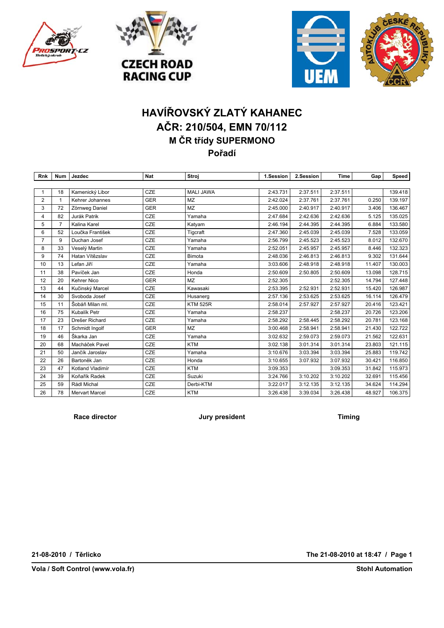





# **HAVÍŘOVSKÝ ZLATÝ KAHANEC AČR: 210/504, EMN 70/112 M ČR třídy SUPERMONO Pořadí**

| Rnk            | Num            | Jezdec                | <b>Nat</b> | Stroj            | 1.Session | 2.Session | Time     | Gap    | Speed   |
|----------------|----------------|-----------------------|------------|------------------|-----------|-----------|----------|--------|---------|
|                |                |                       |            |                  |           |           |          |        |         |
| $\mathbf{1}$   | 18             | Kamenický Libor       | <b>CZE</b> | <b>MALI JAWA</b> | 2:43.731  | 2:37.511  | 2:37.511 |        | 139.418 |
| 2              | $\mathbf{1}$   | Kehrer Johannes       | <b>GER</b> | <b>MZ</b>        | 2:42.024  | 2:37.761  | 2:37.761 | 0.250  | 139.197 |
| 3              | 72             | Zörnweg Daniel        | <b>GER</b> | <b>MZ</b>        | 2:45.000  | 2:40.917  | 2:40.917 | 3.406  | 136.467 |
| 4              | 82             | Jurák Patrik          | CZE        | Yamaha           | 2:47.684  | 2:42.636  | 2:42.636 | 5.125  | 135.025 |
| 5              | $\overline{7}$ | Kalina Karel          | CZE        | Katyam           | 2:46.194  | 2:44.395  | 2:44.395 | 6.884  | 133.580 |
| 6              | 52             | Loučka František      | CZE        | Tigcraft         | 2:47.360  | 2:45.039  | 2:45.039 | 7.528  | 133.059 |
| $\overline{7}$ | 9              | Duchan Josef          | CZE        | Yamaha           | 2:56.799  | 2:45.523  | 2:45.523 | 8.012  | 132.670 |
| 8              | 33             | Veselý Martin         | CZE        | Yamaha           | 2:52.051  | 2:45.957  | 2:45.957 | 8.446  | 132.323 |
| 9              | 74             | Hatan Vítězslav       | CZE        | <b>Bimota</b>    | 2:48.036  | 2:46.813  | 2:46.813 | 9.302  | 131.644 |
| 10             | 13             | Lefan Jiří            | CZE        | Yamaha           | 3:03.606  | 2:48.918  | 2:48.918 | 11.407 | 130.003 |
| 11             | 38             | Pavíček Jan           | CZE        | Honda            | 2:50.609  | 2:50.805  | 2:50.609 | 13.098 | 128.715 |
| 12             | 20             | <b>Kehrer Nico</b>    | <b>GER</b> | <b>MZ</b>        | 2:52.305  |           | 2:52.305 | 14.794 | 127.448 |
| 13             | 44             | Kučinský Marcel       | <b>CZE</b> | Kawasaki         | 2:53.395  | 2:52.931  | 2:52.931 | 15.420 | 126.987 |
| 14             | 30             | Svoboda Josef         | CZE        | Husanerg         | 2:57.136  | 2:53.625  | 2:53.625 | 16.114 | 126.479 |
| 15             | 11             | Šobáň Milan ml.       | CZE        | <b>KTM 525R</b>  | 2:58.014  | 2:57.927  | 2:57.927 | 20.416 | 123.421 |
| 16             | 75             | Kubalík Petr          | CZE        | Yamaha           | 2:58.237  |           | 2:58.237 | 20.726 | 123.206 |
| 17             | 23             | Drešer Richard        | CZE        | Yamaha           | 2:58.292  | 2:58.445  | 2:58.292 | 20.781 | 123.168 |
| 18             | 17             | Schmidt Ingolf        | <b>GER</b> | <b>MZ</b>        | 3:00.468  | 2:58.941  | 2:58.941 | 21.430 | 122.722 |
| 19             | 46             | Škarka Jan            | CZE        | Yamaha           | 3:02.632  | 2:59.073  | 2:59.073 | 21.562 | 122.631 |
| 20             | 68             | Macháček Pavel        | CZE        | <b>KTM</b>       | 3:02.138  | 3:01.314  | 3:01.314 | 23.803 | 121.115 |
| 21             | 50             | Jančík Jaroslav       | CZE        | Yamaha           | 3:10.676  | 3:03.394  | 3:03.394 | 25.883 | 119.742 |
| 22             | 26             | Bartoněk Jan          | CZE        | Honda            | 3:10.655  | 3:07.932  | 3:07.932 | 30.421 | 116.850 |
| 23             | 47             | Kotland Vladimír      | CZE        | <b>KTM</b>       | 3:09.353  |           | 3:09.353 | 31.842 | 115.973 |
| 24             | 39             | Koňařík Radek         | CZE        | Suzuki           | 3:24.766  | 3:10.202  | 3:10.202 | 32.691 | 115.456 |
| 25             | 59             | Rádl Michal           | CZE        | Derbi-KTM        | 3:22.017  | 3:12.135  | 3:12.135 | 34.624 | 114.294 |
| 26             | 78             | <b>Mervart Marcel</b> | CZE        | <b>KTM</b>       | 3:26.438  | 3:39.034  | 3:26.438 | 48.927 | 106.375 |

**Race director Jury president Timing**

**21-08-2010 / Těrlicko**

**Vola / Soft Control (www.vola.fr)**

**The 21-08-2010 at 18:47 / Page 1**

**Stohl Automation**